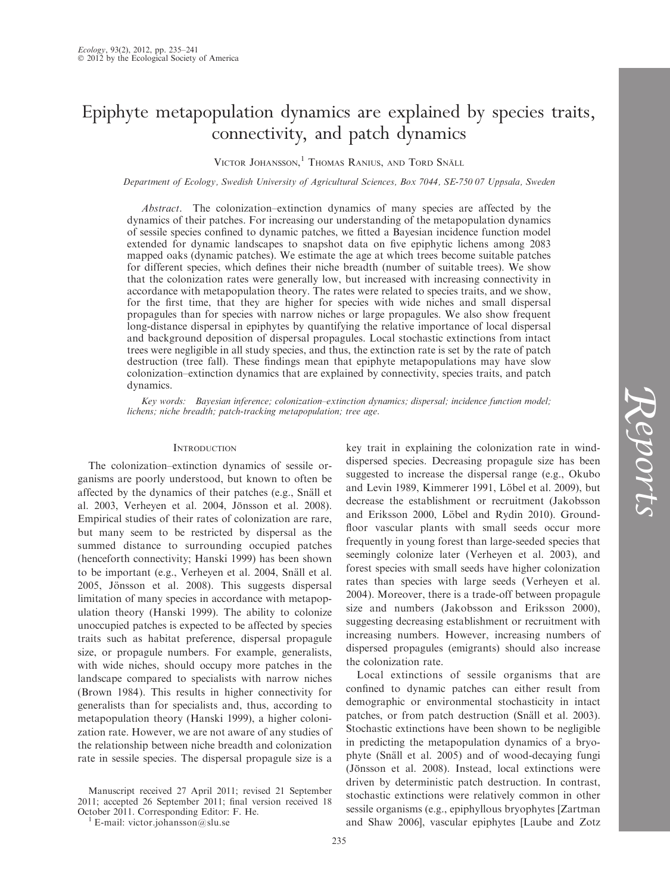# Epiphyte metapopulation dynamics are explained by species traits, connectivity, and patch dynamics

VICTOR JOHANSSON,<sup>1</sup> Thomas Ranius, and Tord Snäll

Department of Ecology, Swedish University of Agricultural Sciences, Box 7044, SE-750 07 Uppsala, Sweden

Abstract. The colonization–extinction dynamics of many species are affected by the dynamics of their patches. For increasing our understanding of the metapopulation dynamics of sessile species confined to dynamic patches, we fitted a Bayesian incidence function model extended for dynamic landscapes to snapshot data on five epiphytic lichens among 2083 mapped oaks (dynamic patches). We estimate the age at which trees become suitable patches for different species, which defines their niche breadth (number of suitable trees). We show that the colonization rates were generally low, but increased with increasing connectivity in accordance with metapopulation theory. The rates were related to species traits, and we show, for the first time, that they are higher for species with wide niches and small dispersal propagules than for species with narrow niches or large propagules. We also show frequent long-distance dispersal in epiphytes by quantifying the relative importance of local dispersal and background deposition of dispersal propagules. Local stochastic extinctions from intact trees were negligible in all study species, and thus, the extinction rate is set by the rate of patch destruction (tree fall). These findings mean that epiphyte metapopulations may have slow colonization–extinction dynamics that are explained by connectivity, species traits, and patch dynamics.

Key words: Bayesian inference; colonization–extinction dynamics; dispersal; incidence function model; lichens; niche breadth; patch-tracking metapopulation; tree age.

# **INTRODUCTION**

The colonization–extinction dynamics of sessile organisms are poorly understood, but known to often be affected by the dynamics of their patches (e.g., Snäll et al. 2003, Verheyen et al. 2004, Jönsson et al. 2008). Empirical studies of their rates of colonization are rare, but many seem to be restricted by dispersal as the summed distance to surrounding occupied patches (henceforth connectivity; Hanski 1999) has been shown to be important (e.g., Verheyen et al. 2004, Snäll et al. 2005, Jönsson et al. 2008). This suggests dispersal limitation of many species in accordance with metapopulation theory (Hanski 1999). The ability to colonize unoccupied patches is expected to be affected by species traits such as habitat preference, dispersal propagule size, or propagule numbers. For example, generalists, with wide niches, should occupy more patches in the landscape compared to specialists with narrow niches (Brown 1984). This results in higher connectivity for generalists than for specialists and, thus, according to metapopulation theory (Hanski 1999), a higher colonization rate. However, we are not aware of any studies of the relationship between niche breadth and colonization rate in sessile species. The dispersal propagule size is a

Manuscript received 27 April 2011; revised 21 September 2011; accepted 26 September 2011; final version received 18 October 2011. Corresponding Editor: F. He. <sup>1</sup> E-mail: victor.johansson@slu.se

key trait in explaining the colonization rate in winddispersed species. Decreasing propagule size has been suggested to increase the dispersal range (e.g., Okubo and Levin 1989, Kimmerer 1991, Löbel et al. 2009), but decrease the establishment or recruitment (Jakobsson and Eriksson 2000, Löbel and Rydin 2010). Groundfloor vascular plants with small seeds occur more frequently in young forest than large-seeded species that seemingly colonize later (Verheyen et al. 2003), and forest species with small seeds have higher colonization rates than species with large seeds (Verheyen et al. 2004). Moreover, there is a trade-off between propagule size and numbers (Jakobsson and Eriksson 2000), suggesting decreasing establishment or recruitment with increasing numbers. However, increasing numbers of dispersed propagules (emigrants) should also increase the colonization rate.

Local extinctions of sessile organisms that are confined to dynamic patches can either result from demographic or environmental stochasticity in intact patches, or from patch destruction (Snäll et al. 2003). Stochastic extinctions have been shown to be negligible in predicting the metapopulation dynamics of a bryophyte (Snäll et al. 2005) and of wood-decaying fungi (Jönsson et al. 2008). Instead, local extinctions were driven by deterministic patch destruction. In contrast, stochastic extinctions were relatively common in other sessile organisms (e.g., epiphyllous bryophytes [Zartman and Shaw 2006], vascular epiphytes [Laube and Zotz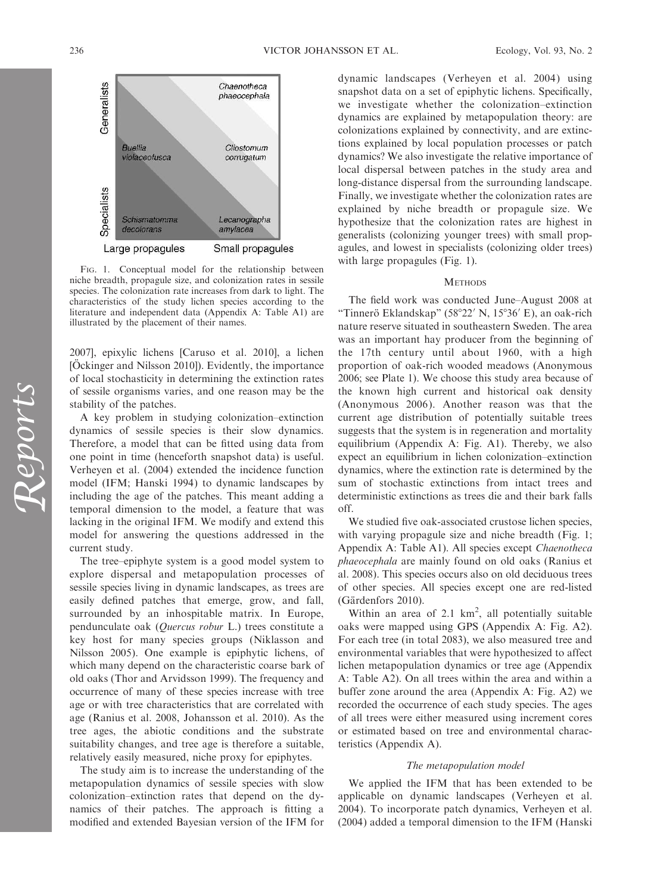

FIG. 1. Conceptual model for the relationship between niche breadth, propagule size, and colonization rates in sessile species. The colonization rate increases from dark to light. The characteristics of the study lichen species according to the literature and independent data (Appendix A: Table A1) are illustrated by the placement of their names.

2007], epixylic lichens [Caruso et al. 2010], a lichen [Öckinger and Nilsson 2010]). Evidently, the importance of local stochasticity in determining the extinction rates of sessile organisms varies, and one reason may be the stability of the patches.

A key problem in studying colonization–extinction dynamics of sessile species is their slow dynamics. Therefore, a model that can be fitted using data from one point in time (henceforth snapshot data) is useful. Verheyen et al. (2004) extended the incidence function model (IFM; Hanski 1994) to dynamic landscapes by including the age of the patches. This meant adding a temporal dimension to the model, a feature that was lacking in the original IFM. We modify and extend this model for answering the questions addressed in the current study.

The tree–epiphyte system is a good model system to explore dispersal and metapopulation processes of sessile species living in dynamic landscapes, as trees are easily defined patches that emerge, grow, and fall, surrounded by an inhospitable matrix. In Europe, pendunculate oak (Quercus robur L.) trees constitute a key host for many species groups (Niklasson and Nilsson 2005). One example is epiphytic lichens, of which many depend on the characteristic coarse bark of old oaks (Thor and Arvidsson 1999). The frequency and occurrence of many of these species increase with tree age or with tree characteristics that are correlated with age (Ranius et al. 2008, Johansson et al. 2010). As the tree ages, the abiotic conditions and the substrate suitability changes, and tree age is therefore a suitable, relatively easily measured, niche proxy for epiphytes.

The study aim is to increase the understanding of the metapopulation dynamics of sessile species with slow colonization–extinction rates that depend on the dynamics of their patches. The approach is fitting a modified and extended Bayesian version of the IFM for dynamic landscapes (Verheyen et al. 2004) using snapshot data on a set of epiphytic lichens. Specifically, we investigate whether the colonization–extinction dynamics are explained by metapopulation theory: are colonizations explained by connectivity, and are extinctions explained by local population processes or patch dynamics? We also investigate the relative importance of local dispersal between patches in the study area and long-distance dispersal from the surrounding landscape. Finally, we investigate whether the colonization rates are explained by niche breadth or propagule size. We hypothesize that the colonization rates are highest in generalists (colonizing younger trees) with small propagules, and lowest in specialists (colonizing older trees) with large propagules (Fig. 1).

## **METHODS**

The field work was conducted June–August 2008 at "Tinnerö Eklandskap" (58°22′ N, 15°36′ E), an oak-rich nature reserve situated in southeastern Sweden. The area was an important hay producer from the beginning of the 17th century until about 1960, with a high proportion of oak-rich wooded meadows (Anonymous 2006; see Plate 1). We choose this study area because of the known high current and historical oak density (Anonymous 2006). Another reason was that the current age distribution of potentially suitable trees suggests that the system is in regeneration and mortality equilibrium (Appendix A: Fig. A1). Thereby, we also expect an equilibrium in lichen colonization–extinction dynamics, where the extinction rate is determined by the sum of stochastic extinctions from intact trees and deterministic extinctions as trees die and their bark falls off.

We studied five oak-associated crustose lichen species, with varying propagule size and niche breadth (Fig. 1; Appendix A: Table A1). All species except Chaenotheca phaeocephala are mainly found on old oaks (Ranius et al. 2008). This species occurs also on old deciduous trees of other species. All species except one are red-listed (Gärdenfors 2010).

Within an area of  $2.1 \text{ km}^2$ , all potentially suitable oaks were mapped using GPS (Appendix A: Fig. A2). For each tree (in total 2083), we also measured tree and environmental variables that were hypothesized to affect lichen metapopulation dynamics or tree age (Appendix A: Table A2). On all trees within the area and within a buffer zone around the area (Appendix A: Fig. A2) we recorded the occurrence of each study species. The ages of all trees were either measured using increment cores or estimated based on tree and environmental characteristics (Appendix A).

## The metapopulation model

We applied the IFM that has been extended to be applicable on dynamic landscapes (Verheyen et al. 2004). To incorporate patch dynamics, Verheyen et al. (2004) added a temporal dimension to the IFM (Hanski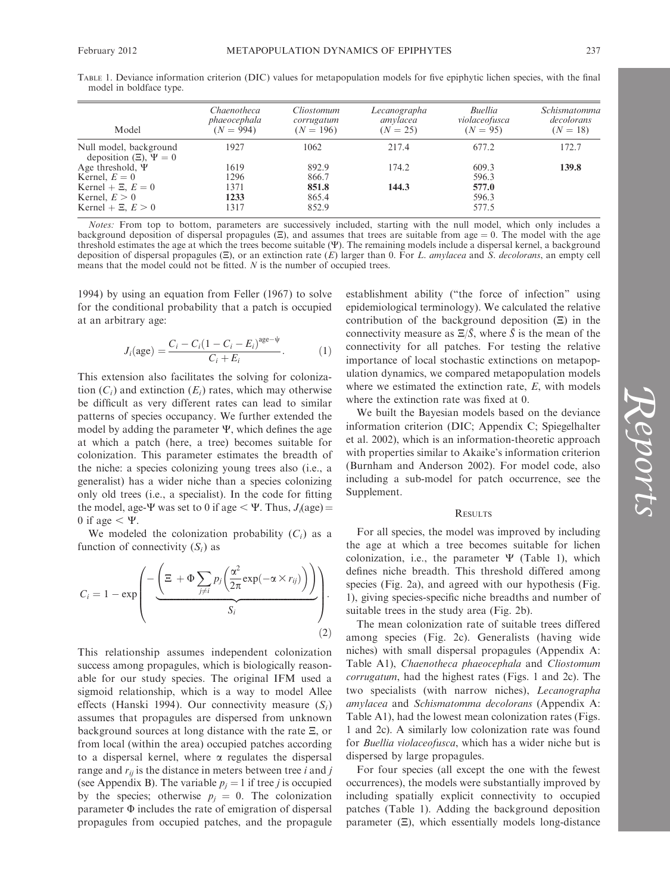| TABLE 1. Deviance information criterion (DIC) values for metapopulation models for five epiphytic lichen species, with the final |  |  |  |  |  |
|----------------------------------------------------------------------------------------------------------------------------------|--|--|--|--|--|
| model in boldface type.                                                                                                          |  |  |  |  |  |

| Model                                                                   | Chaenotheca<br>phaeocephala<br>$(N = 994)$ | Cliostomum<br>corrugatum<br>$(N = 196)$ | Lecanographa<br>amylacea<br>$(N = 25)$ | Buellia<br>violaceofusca<br>$(N = 95)$ | <i>Schismatomma</i><br>decolorans<br>$(N = 18)$ |
|-------------------------------------------------------------------------|--------------------------------------------|-----------------------------------------|----------------------------------------|----------------------------------------|-------------------------------------------------|
| Null model, background<br>deposition $(\Xi)$ , $\Psi = 0$               | 1927                                       | 1062                                    | 217.4                                  | 677.2                                  | 172.7                                           |
| Age threshold, $\Psi$<br>Kernel, $E = 0$                                | 1619<br>1296                               | 892.9<br>866.7                          | 174.2                                  | 609.3<br>596.3                         | 139.8                                           |
| Kernel + $\Xi$ , $E = 0$<br>Kernel, $E > 0$<br>Kernel + $\Xi$ , $E > 0$ | 1371<br>1233<br>1317                       | 851.8<br>865.4<br>852.9                 | 144.3                                  | 577.0<br>596.3<br>577.5                |                                                 |

Notes: From top to bottom, parameters are successively included, starting with the null model, which only includes a background deposition of dispersal propagules  $(\Xi)$ , and assumes that trees are suitable from age  $= 0$ . The model with the age threshold estimates the age at which the trees become suitable (W). The remaining models include a dispersal kernel, a background deposition of dispersal propagules  $(\Xi)$ , or an extinction rate  $(E)$  larger than 0. For L. amylacea and S. decolorans, an empty cell means that the model could not be fitted. N is the number of occupied trees.

1994) by using an equation from Feller (1967) to solve for the conditional probability that a patch is occupied at an arbitrary age:

$$
J_i(\text{age}) = \frac{C_i - C_i(1 - C_i - E_i)^{\text{age}-\psi}}{C_i + E_i}.
$$
 (1)

This extension also facilitates the solving for colonization  $(C_i)$  and extinction  $(E_i)$  rates, which may otherwise be difficult as very different rates can lead to similar patterns of species occupancy. We further extended the model by adding the parameter  $\Psi$ , which defines the age at which a patch (here, a tree) becomes suitable for colonization. This parameter estimates the breadth of the niche: a species colonizing young trees also (i.e., a generalist) has a wider niche than a species colonizing only old trees (i.e., a specialist). In the code for fitting the model, age- $\Psi$  was set to 0 if age  $\lt \Psi$ . Thus,  $J_i(\text{age}) =$ 0 if age  $< \Psi$ .

We modeled the colonization probability  $(C_i)$  as a function of connectivity  $(S_i)$  as

$$
C_{i} = 1 - \exp\left(\frac{-\left(\Xi + \Phi \sum_{j \neq i} p_{j} \left(\frac{\alpha^{2}}{2\pi} \exp(-\alpha \times r_{ij})\right)\right)}{S_{i}}\right).
$$
\n(2)

This relationship assumes independent colonization success among propagules, which is biologically reasonable for our study species. The original IFM used a sigmoid relationship, which is a way to model Allee effects (Hanski 1994). Our connectivity measure  $(S_i)$ assumes that propagules are dispersed from unknown background sources at long distance with the rate  $\Xi$ , or from local (within the area) occupied patches according to a dispersal kernel, where  $\alpha$  regulates the dispersal range and  $r_{ii}$  is the distance in meters between tree i and j (see Appendix B). The variable  $p_i = 1$  if tree *j* is occupied by the species; otherwise  $p_i = 0$ . The colonization parameter  $\Phi$  includes the rate of emigration of dispersal propagules from occupied patches, and the propagule establishment ability (''the force of infection'' using epidemiological terminology). We calculated the relative contribution of the background deposition  $(\Xi)$  in the connectivity measure as  $\Xi/\bar{S}$ , where  $\bar{S}$  is the mean of the connectivity for all patches. For testing the relative importance of local stochastic extinctions on metapopulation dynamics, we compared metapopulation models where we estimated the extinction rate,  $E$ , with models where the extinction rate was fixed at 0.

We built the Bayesian models based on the deviance information criterion (DIC; Appendix C; Spiegelhalter et al. 2002), which is an information-theoretic approach with properties similar to Akaike's information criterion (Burnham and Anderson 2002). For model code, also including a sub-model for patch occurrence, see the Supplement.

# RESULTS

For all species, the model was improved by including the age at which a tree becomes suitable for lichen colonization, i.e., the parameter  $\Psi$  (Table 1), which defines niche breadth. This threshold differed among species (Fig. 2a), and agreed with our hypothesis (Fig. 1), giving species-specific niche breadths and number of suitable trees in the study area (Fig. 2b).

The mean colonization rate of suitable trees differed among species (Fig. 2c). Generalists (having wide niches) with small dispersal propagules (Appendix A: Table A1), Chaenotheca phaeocephala and Cliostomum corrugatum, had the highest rates (Figs. 1 and 2c). The two specialists (with narrow niches), Lecanographa amylacea and Schismatomma decolorans (Appendix A: Table A1), had the lowest mean colonization rates (Figs. 1 and 2c). A similarly low colonization rate was found for Buellia violaceofusca, which has a wider niche but is dispersed by large propagules.

For four species (all except the one with the fewest occurrences), the models were substantially improved by including spatially explicit connectivity to occupied patches (Table 1). Adding the background deposition parameter  $(E)$ , which essentially models long-distance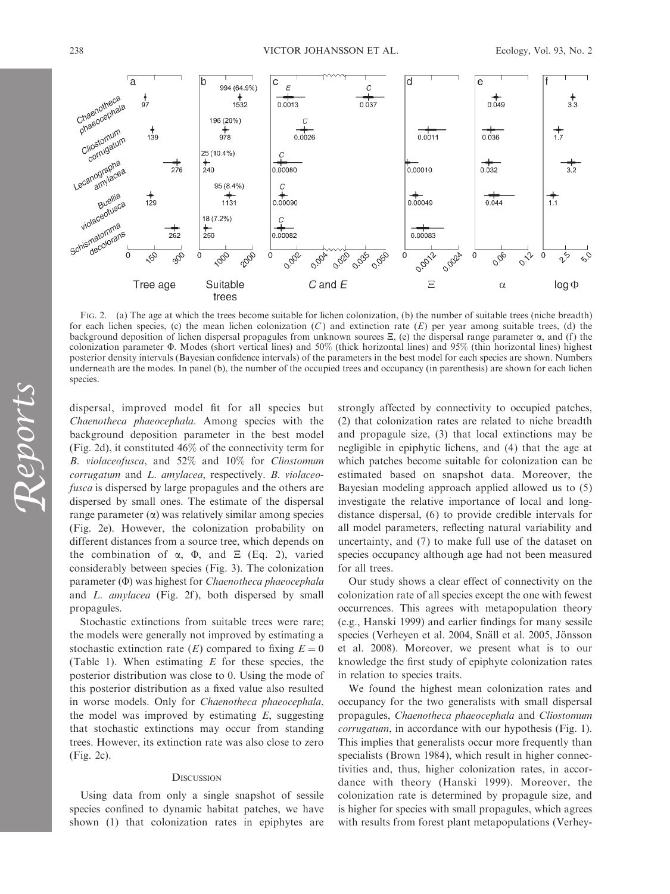

FIG. 2. (a) The age at which the trees become suitable for lichen colonization, (b) the number of suitable trees (niche breadth) for each lichen species, (c) the mean lichen colonization  $(C)$  and extinction rate  $(E)$  per year among suitable trees, (d) the background deposition of lichen dispersal propagules from unknown sources  $\Xi$ , (e) the dispersal range parameter  $\alpha$ , and (f) the colonization parameter  $\Phi$ . Modes (short vertical lines) and 50% (thick horizontal lines) and 95% (thin horizontal lines) highest posterior density intervals (Bayesian confidence intervals) of the parameters in the best model for each species are shown. Numbers underneath are the modes. In panel (b), the number of the occupied trees and occupancy (in parenthesis) are shown for each lichen species.

dispersal, improved model fit for all species but Chaenotheca phaeocephala. Among species with the background deposition parameter in the best model (Fig. 2d), it constituted 46% of the connectivity term for B. violaceofusca, and 52% and 10% for Cliostomum corrugatum and L. amylacea, respectively. B. violaceofusca is dispersed by large propagules and the others are dispersed by small ones. The estimate of the dispersal range parameter  $(\alpha)$  was relatively similar among species (Fig. 2e). However, the colonization probability on different distances from a source tree, which depends on the combination of  $\alpha$ ,  $\Phi$ , and  $\Xi$  (Eq. 2), varied considerably between species (Fig. 3). The colonization parameter  $(\Phi)$  was highest for *Chaenotheca phaeocephala* and L. amylacea (Fig. 2f), both dispersed by small propagules.

Stochastic extinctions from suitable trees were rare; the models were generally not improved by estimating a stochastic extinction rate  $(E)$  compared to fixing  $E = 0$ (Table 1). When estimating  $E$  for these species, the posterior distribution was close to 0. Using the mode of this posterior distribution as a fixed value also resulted in worse models. Only for Chaenotheca phaeocephala, the model was improved by estimating  $E$ , suggesting that stochastic extinctions may occur from standing trees. However, its extinction rate was also close to zero (Fig. 2c).

#### **DISCUSSION**

Using data from only a single snapshot of sessile species confined to dynamic habitat patches, we have shown (1) that colonization rates in epiphytes are strongly affected by connectivity to occupied patches, (2) that colonization rates are related to niche breadth and propagule size, (3) that local extinctions may be negligible in epiphytic lichens, and (4) that the age at which patches become suitable for colonization can be estimated based on snapshot data. Moreover, the Bayesian modeling approach applied allowed us to (5) investigate the relative importance of local and longdistance dispersal, (6) to provide credible intervals for all model parameters, reflecting natural variability and uncertainty, and (7) to make full use of the dataset on species occupancy although age had not been measured for all trees.

Our study shows a clear effect of connectivity on the colonization rate of all species except the one with fewest occurrences. This agrees with metapopulation theory (e.g., Hanski 1999) and earlier findings for many sessile species (Verheyen et al. 2004, Snäll et al. 2005, Jönsson et al. 2008). Moreover, we present what is to our knowledge the first study of epiphyte colonization rates in relation to species traits.

We found the highest mean colonization rates and occupancy for the two generalists with small dispersal propagules, Chaenotheca phaeocephala and Cliostomum corrugatum, in accordance with our hypothesis (Fig. 1). This implies that generalists occur more frequently than specialists (Brown 1984), which result in higher connectivities and, thus, higher colonization rates, in accordance with theory (Hanski 1999). Moreover, the colonization rate is determined by propagule size, and is higher for species with small propagules, which agrees with results from forest plant metapopulations (Verhey-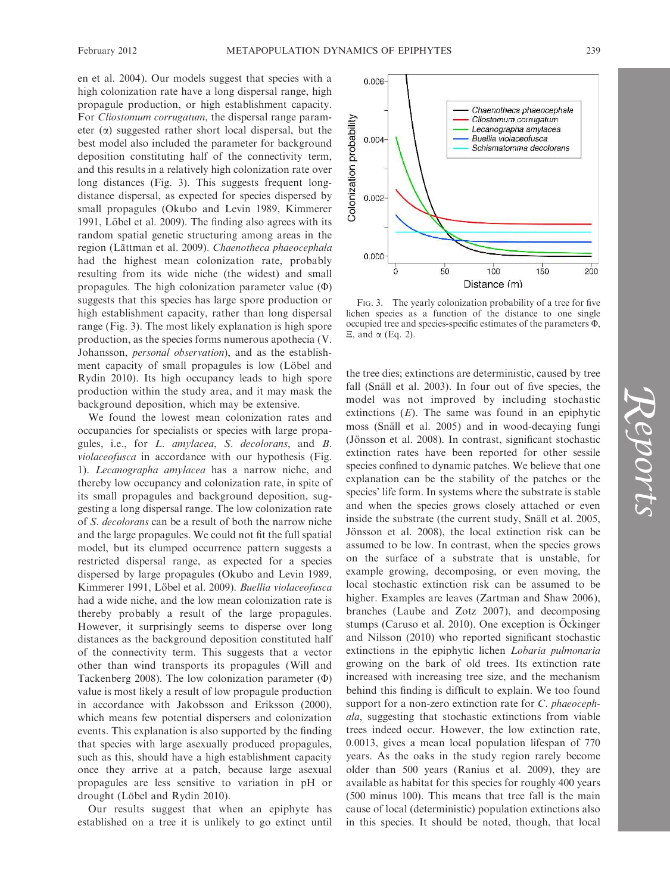en et al. 2004). Our models suggest that species with a high colonization rate have a long dispersal range, high propagule production, or high establishment capacity. For Cliostomum corrugatum, the dispersal range parameter  $(\alpha)$  suggested rather short local dispersal, but the best model also included the parameter for background deposition constituting half of the connectivity term, and this results in a relatively high colonization rate over long distances (Fig. 3). This suggests frequent longdistance dispersal, as expected for species dispersed by small propagules (Okubo and Levin 1989, Kimmerer 1991, Löbel et al. 2009). The finding also agrees with its random spatial genetic structuring among areas in the region (Lättman et al. 2009). Chaenotheca phaeocephala had the highest mean colonization rate, probably resulting from its wide niche (the widest) and small propagules. The high colonization parameter value  $(\Phi)$ suggests that this species has large spore production or high establishment capacity, rather than long dispersal range (Fig. 3). The most likely explanation is high spore

production, as the species forms numerous apothecia (V. Johansson, personal observation), and as the establishment capacity of small propagules is low (Löbel and Rydin 2010). Its high occupancy leads to high spore production within the study area, and it may mask the background deposition, which may be extensive.

We found the lowest mean colonization rates and occupancies for specialists or species with large propagules, i.e., for L. amylacea, S. decolorans, and B. violaceofusca in accordance with our hypothesis (Fig. 1). Lecanographa amylacea has a narrow niche, and thereby low occupancy and colonization rate, in spite of its small propagules and background deposition, suggesting a long dispersal range. The low colonization rate of S. decolorans can be a result of both the narrow niche and the large propagules. We could not fit the full spatial model, but its clumped occurrence pattern suggests a restricted dispersal range, as expected for a species dispersed by large propagules (Okubo and Levin 1989, Kimmerer 1991, Löbel et al. 2009). Buellia violaceofusca had a wide niche, and the low mean colonization rate is thereby probably a result of the large propagules. However, it surprisingly seems to disperse over long distances as the background deposition constituted half of the connectivity term. This suggests that a vector other than wind transports its propagules (Will and Tackenberg 2008). The low colonization parameter  $(\Phi)$ value is most likely a result of low propagule production in accordance with Jakobsson and Eriksson (2000), which means few potential dispersers and colonization events. This explanation is also supported by the finding that species with large asexually produced propagules, such as this, should have a high establishment capacity once they arrive at a patch, because large asexual propagules are less sensitive to variation in pH or drought (Löbel and Rydin 2010).

Our results suggest that when an epiphyte has established on a tree it is unlikely to go extinct until



FIG. 3. The yearly colonization probability of a tree for five lichen species as a function of the distance to one single occupied tree and species-specific estimates of the parameters  $\Phi$ ,  $\Xi$ , and  $\alpha$  (Eq. 2).

the tree dies; extinctions are deterministic, caused by tree fall (Snäll et al. 2003). In four out of five species, the model was not improved by including stochastic extinctions  $(E)$ . The same was found in an epiphytic moss (Snäll et al. 2005) and in wood-decaying fungi (Jönsson et al. 2008). In contrast, significant stochastic extinction rates have been reported for other sessile species confined to dynamic patches. We believe that one explanation can be the stability of the patches or the species' life form. In systems where the substrate is stable and when the species grows closely attached or even inside the substrate (the current study, Snäll et al. 2005, Jönsson et al. 2008), the local extinction risk can be assumed to be low. In contrast, when the species grows on the surface of a substrate that is unstable, for example growing, decomposing, or even moving, the local stochastic extinction risk can be assumed to be higher. Examples are leaves (Zartman and Shaw 2006), branches (Laube and Zotz 2007), and decomposing stumps (Caruso et al. 2010). One exception is Öckinger and Nilsson (2010) who reported significant stochastic extinctions in the epiphytic lichen Lobaria pulmonaria growing on the bark of old trees. Its extinction rate increased with increasing tree size, and the mechanism behind this finding is difficult to explain. We too found support for a non-zero extinction rate for C. *phaeoceph*ala, suggesting that stochastic extinctions from viable trees indeed occur. However, the low extinction rate, 0.0013, gives a mean local population lifespan of 770 years. As the oaks in the study region rarely become older than 500 years (Ranius et al. 2009), they are available as habitat for this species for roughly 400 years (500 minus 100). This means that tree fall is the main cause of local (deterministic) population extinctions also in this species. It should be noted, though, that local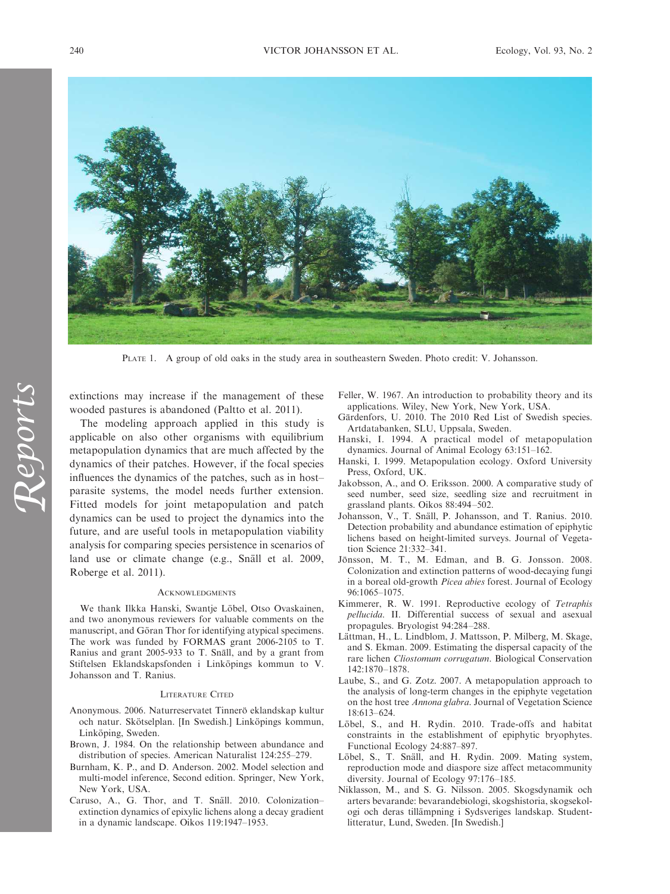

PLATE 1. A group of old oaks in the study area in southeastern Sweden. Photo credit: V. Johansson.

extinctions may increase if the management of these wooded pastures is abandoned (Paltto et al. 2011).

The modeling approach applied in this study is applicable on also other organisms with equilibrium metapopulation dynamics that are much affected by the dynamics of their patches. However, if the focal species influences the dynamics of the patches, such as in host– parasite systems, the model needs further extension. Fitted models for joint metapopulation and patch dynamics can be used to project the dynamics into the future, and are useful tools in metapopulation viability analysis for comparing species persistence in scenarios of land use or climate change (e.g., Snäll et al. 2009, Roberge et al. 2011).

# ACKNOWLEDGMENTS

We thank Ilkka Hanski, Swantje Löbel, Otso Ovaskainen, and two anonymous reviewers for valuable comments on the manuscript, and Göran Thor for identifying atypical specimens. The work was funded by FORMAS grant 2006-2105 to T. Ranius and grant 2005-933 to T. Snäll, and by a grant from Stiftelsen Eklandskapsfonden i Linköpings kommun to V. Johansson and T. Ranius.

#### LITERATURE CITED

- Anonymous. 2006. Naturreservatet Tinnerö eklandskap kultur och natur. Skötselplan. [In Swedish.] Linköpings kommun, Linköping, Sweden.
- Brown, J. 1984. On the relationship between abundance and distribution of species. American Naturalist 124:255–279.
- Burnham, K. P., and D. Anderson. 2002. Model selection and multi-model inference, Second edition. Springer, New York, New York, USA.
- Caruso, A., G. Thor, and T. Snäll. 2010. Colonizationextinction dynamics of epixylic lichens along a decay gradient in a dynamic landscape. Oikos 119:1947–1953.
- Feller, W. 1967. An introduction to probability theory and its applications. Wiley, New York, New York, USA.
- Gärdenfors, U. 2010. The 2010 Red List of Swedish species. Artdatabanken, SLU, Uppsala, Sweden.
- Hanski, I. 1994. A practical model of metapopulation dynamics. Journal of Animal Ecology 63:151–162.
- Hanski, I. 1999. Metapopulation ecology. Oxford University Press, Oxford, UK.
- Jakobsson, A., and O. Eriksson. 2000. A comparative study of seed number, seed size, seedling size and recruitment in grassland plants. Oikos 88:494–502.
- Johansson, V., T. Snäll, P. Johansson, and T. Ranius. 2010. Detection probability and abundance estimation of epiphytic lichens based on height-limited surveys. Journal of Vegetation Science 21:332–341.
- Jönsson, M. T., M. Edman, and B. G. Jonsson. 2008. Colonization and extinction patterns of wood-decaying fungi in a boreal old-growth Picea abies forest. Journal of Ecology 96:1065–1075.
- Kimmerer, R. W. 1991. Reproductive ecology of Tetraphis pellucida. II. Differential success of sexual and asexual propagules. Bryologist 94:284–288.
- Lättman, H., L. Lindblom, J. Mattsson, P. Milberg, M. Skage, and S. Ekman. 2009. Estimating the dispersal capacity of the rare lichen Cliostomum corrugatum. Biological Conservation 142:1870–1878.
- Laube, S., and G. Zotz. 2007. A metapopulation approach to the analysis of long-term changes in the epiphyte vegetation on the host tree Annona glabra. Journal of Vegetation Science 18:613–624.
- Löbel, S., and H. Rydin. 2010. Trade-offs and habitat constraints in the establishment of epiphytic bryophytes. Functional Ecology 24:887–897.
- Löbel, S., T. Snäll, and H. Rydin. 2009. Mating system, reproduction mode and diaspore size affect metacommunity diversity. Journal of Ecology 97:176–185.
- Niklasson, M., and S. G. Nilsson. 2005. Skogsdynamik och arters bevarande: bevarandebiologi, skogshistoria, skogsekologi och deras tillämpning i Sydsveriges landskap. Studentlitteratur, Lund, Sweden. [In Swedish.]